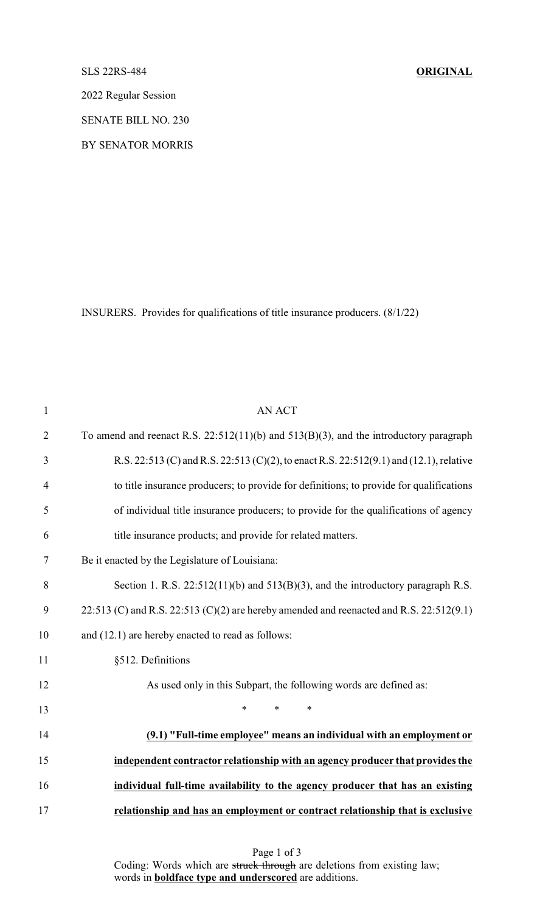## SLS 22RS-484 **ORIGINAL**

2022 Regular Session

SENATE BILL NO. 230

BY SENATOR MORRIS

INSURERS. Provides for qualifications of title insurance producers. (8/1/22)

| $\mathbf{1}$   | <b>AN ACT</b>                                                                              |
|----------------|--------------------------------------------------------------------------------------------|
| $\overline{2}$ | To amend and reenact R.S. $22:512(11)(b)$ and $513(B)(3)$ , and the introductory paragraph |
| 3              | R.S. 22:513 (C) and R.S. 22:513 (C)(2), to enact R.S. 22:512(9.1) and (12.1), relative     |
| $\overline{4}$ | to title insurance producers; to provide for definitions; to provide for qualifications    |
| 5              | of individual title insurance producers; to provide for the qualifications of agency       |
| 6              | title insurance products; and provide for related matters.                                 |
| $\tau$         | Be it enacted by the Legislature of Louisiana:                                             |
| 8              | Section 1. R.S. $22:512(11)(b)$ and $513(B)(3)$ , and the introductory paragraph R.S.      |
| 9              | 22:513 (C) and R.S. 22:513 (C)(2) are hereby amended and reenacted and R.S. 22:512(9.1)    |
| 10             | and (12.1) are hereby enacted to read as follows:                                          |
| 11             | §512. Definitions                                                                          |
| 12             | As used only in this Subpart, the following words are defined as:                          |
| 13             | $\ast$<br>*<br>$\ast$                                                                      |
| 14             | (9.1) "Full-time employee" means an individual with an employment or                       |
| 15             | independent contractor relationship with an agency producer that provides the              |
| 16             | individual full-time availability to the agency producer that has an existing              |
| 17             | relationship and has an employment or contract relationship that is exclusive              |

Page 1 of 3 Coding: Words which are struck through are deletions from existing law; words in **boldface type and underscored** are additions.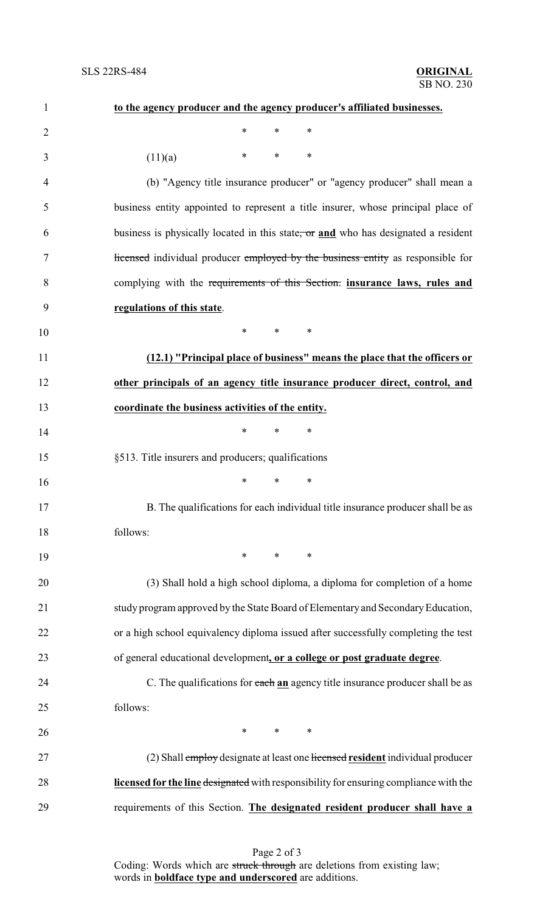| $\mathbf{1}$   | to the agency producer and the agency producer's affiliated businesses.                |
|----------------|----------------------------------------------------------------------------------------|
| $\overline{2}$ | $\ast$<br>*<br>$\ast$                                                                  |
| 3              | $\ast$<br>$\ast$<br>∗<br>(11)(a)                                                       |
| 4              | (b) "Agency title insurance producer" or "agency producer" shall mean a                |
| 5              | business entity appointed to represent a title insurer, whose principal place of       |
| 6              | business is physically located in this state, or and who has designated a resident     |
| 7              | <b>Hicensed</b> individual producer employed by the business entity as responsible for |
| 8              | complying with the requirements of this Section. insurance laws, rules and             |
| 9              | regulations of this state.                                                             |
| 10             | $\ast$<br>∗<br>$\ast$                                                                  |
| 11             | (12.1) "Principal place of business" means the place that the officers or              |
| 12             | other principals of an agency title insurance producer direct, control, and            |
| 13             | coordinate the business activities of the entity.                                      |
| 14             | $\ast$<br>$\ast$<br>$\ast$                                                             |
| 15             | §513. Title insurers and producers; qualifications                                     |
| 16             | $\ast$<br>$\ast$<br>$\ast$                                                             |
| 17             | B. The qualifications for each individual title insurance producer shall be as         |
| 18             | follows:                                                                               |
| 19             | $*$ $*$<br>$\ast$<br>$\ast$                                                            |
| 20             | (3) Shall hold a high school diploma, a diploma for completion of a home               |
| 21             | study program approved by the State Board of Elementary and Secondary Education,       |
| 22             | or a high school equivalency diploma issued after successfully completing the test     |
| 23             | of general educational development, or a college or post graduate degree.              |
| 24             | C. The qualifications for each an agency title insurance producer shall be as          |
| 25             | follows:                                                                               |
| 26             | $\ast$<br>$*$ and $*$<br>∗                                                             |
| 27             | (2) Shall employ designate at least one licensed resident individual producer          |
| 28             | licensed for the line designated with responsibility for ensuring compliance with the  |
| 29             | requirements of this Section. The designated resident producer shall have a            |
|                |                                                                                        |

Page 2 of 3 Coding: Words which are struck through are deletions from existing law; words in **boldface type and underscored** are additions.